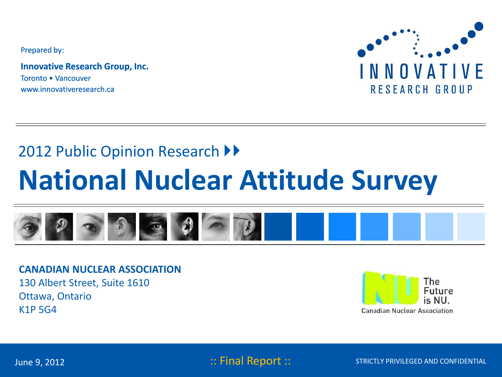Prepared by:

**Innovative Research Group, Inc.** Toronto • Vancouver www.innovativeresearch.ca



## 2012 Public Opinion Research ▶▶

# **National Nuclear Attitude Survey**



**CANADIAN NUCLEAR ASSOCIATION** 130 Albert Street, Suite 1610 Ottawa, Ontario K1P 5G4



June 9, 2012 : Timal Report ::

STRICTLY PRIVILEGED AND CONFIDENTIAL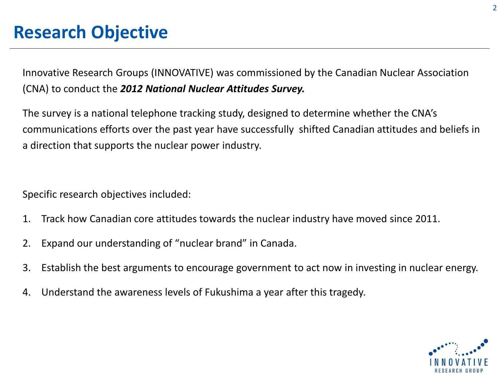Innovative Research Groups (INNOVATIVE) was commissioned by the Canadian Nuclear Association (CNA) to conduct the *2012 National Nuclear Attitudes Survey.*

The survey is a national telephone tracking study, designed to determine whether the CNA's communications efforts over the past year have successfully shifted Canadian attitudes and beliefs in a direction that supports the nuclear power industry.

Specific research objectives included:

- 1. Track how Canadian core attitudes towards the nuclear industry have moved since 2011.
- 2. Expand our understanding of "nuclear brand" in Canada.
- 3. Establish the best arguments to encourage government to act now in investing in nuclear energy.
- 4. Understand the awareness levels of Fukushima a year after this tragedy.

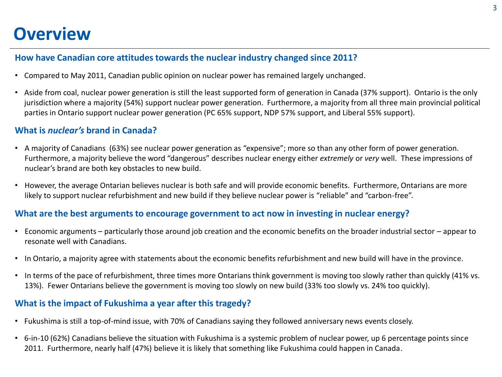## **Overview**

## **How have Canadian core attitudes towards the nuclear industry changed since 2011?**

- Compared to May 2011, Canadian public opinion on nuclear power has remained largely unchanged.
- Aside from coal, nuclear power generation is still the least supported form of generation in Canada (37% support). Ontario is the only jurisdiction where a majority (54%) support nuclear power generation. Furthermore, a majority from all three main provincial political parties in Ontario support nuclear power generation (PC 65% support, NDP 57% support, and Liberal 55% support).

## **What is** *nuclear's* **brand in Canada?**

- A majority of Canadians (63%) see nuclear power generation as "expensive"; more so than any other form of power generation. Furthermore, a majority believe the word "dangerous" describes nuclear energy either *extremely* or *very* well. These impressions of nuclear's brand are both key obstacles to new build.
- However, the average Ontarian believes nuclear is both safe and will provide economic benefits. Furthermore, Ontarians are more likely to support nuclear refurbishment and new build if they believe nuclear power is "reliable" and "carbon-free".

## **What are the best arguments to encourage government to act now in investing in nuclear energy?**

- Economic arguments particularly those around job creation and the economic benefits on the broader industrial sector appear to resonate well with Canadians.
- In Ontario, a majority agree with statements about the economic benefits refurbishment and new build will have in the province.
- In terms of the pace of refurbishment, three times more Ontarians think government is moving too slowly rather than quickly (41% vs. 13%). Fewer Ontarians believe the government is moving too slowly on new build (33% too slowly vs. 24% too quickly).

## **What is the impact of Fukushima a year after this tragedy?**

- Fukushima is still a top-of-mind issue, with 70% of Canadians saying they followed anniversary news events closely.
- 6-in-10 (62%) Canadians believe the situation with Fukushima is a systemic problem of nuclear power, up 6 percentage points since 2011. Furthermore, nearly half (47%) believe it is likely that something like Fukushima could happen in Canada.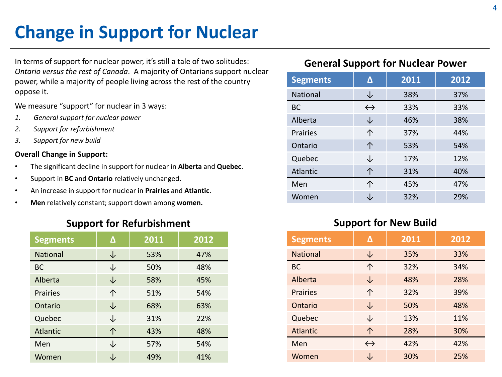# **Change in Support for Nuclear**

In terms of support for nuclear power, it's still a tale of two solitudes: *Ontario versus the rest of Canada*. A majority of Ontarians support nuclear power, while a majority of people living across the rest of the country oppose it.

We measure "support" for nuclear in 3 ways:

- *1. General support for nuclear power*
- *2. Support for refurbishment*
- *3. Support for new build*

### **Overall Change in Support:**

- The significant decline in support for nuclear in **Alberta** and **Quebec**.
- Support in **BC** and **Ontario** relatively unchanged.
- An increase in support for nuclear in **Prairies** and **Atlantic**.
- **Men** relatively constant; support down among **women.**

## **Support for Refurbishment**

| <b>Segments</b> | Δ  | 2011 | 2012 |
|-----------------|----|------|------|
| <b>National</b> | J  | 53%  | 47%  |
| <b>BC</b>       | J  | 50%  | 48%  |
| Alberta         | ↓  | 58%  | 45%  |
| <b>Prairies</b> | 个  | 51%  | 54%  |
| Ontario         | ↓  | 68%  | 63%  |
| Quebec          | Jż | 31%  | 22%  |
| <b>Atlantic</b> | 个  | 43%  | 48%  |
| Men             | J  | 57%  | 54%  |
| Women           |    | 49%  | 41%  |

## **Segments Δ 2011 2012** National  $\downarrow$  38% 37% BC  $\leftrightarrow$  33% 33% Alberta  $\downarrow$  46% 38% Prairies ↑ 137% 44% Ontario ↑ 53% 54% Quebec  $\downarrow$  17% 12% Atlantic 1 ↑ 31% 40% Men  $\uparrow$  45% 47% Women ↓ ↓ 32% 29% **General Support for Nuclear Power**

## **Support for New Build**

| <b>Segments</b> | Δ                 | 2011 | 2012 |
|-----------------|-------------------|------|------|
| <b>National</b> | ↓                 | 35%  | 33%  |
| <b>BC</b>       | 个                 | 32%  | 34%  |
| Alberta         | ↓                 | 48%  | 28%  |
| <b>Prairies</b> | 个                 | 32%  | 39%  |
| Ontario         | ↓                 | 50%  | 48%  |
| Quebec          | J                 | 13%  | 11%  |
| <b>Atlantic</b> | 个                 | 28%  | 30%  |
| Men             | $\leftrightarrow$ | 42%  | 42%  |
| Women           |                   | 30%  | 25%  |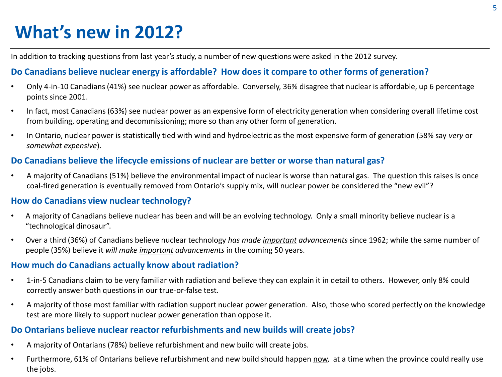# **What's new in 2012?**

In addition to tracking questions from last year's study, a number of new questions were asked in the 2012 survey.

## **Do Canadians believe nuclear energy is affordable? How does it compare to other forms of generation?**

- Only 4-in-10 Canadians (41%) see nuclear power as affordable. Conversely, 36% disagree that nuclear is affordable, up 6 percentage points since 2001.
- In fact, most Canadians (63%) see nuclear power as an expensive form of electricity generation when considering overall lifetime cost from building, operating and decommissioning; more so than any other form of generation.
- In Ontario, nuclear power is statistically tied with wind and hydroelectric as the most expensive form of generation (58% say *very* or *somewhat expensive*).

## **Do Canadians believe the lifecycle emissions of nuclear are better or worse than natural gas?**

• A majority of Canadians (51%) believe the environmental impact of nuclear is worse than natural gas. The question this raises is once coal-fired generation is eventually removed from Ontario's supply mix, will nuclear power be considered the "new evil"?

## **How do Canadians view nuclear technology?**

- A majority of Canadians believe nuclear has been and will be an evolving technology. Only a small minority believe nuclear is a "technological dinosaur".
- Over a third (36%) of Canadians believe nuclear technology *has made important advancements* since 1962; while the same number of people (35%) believe it *will make important advancements* in the coming 50 years.

## **How much do Canadians actually know about radiation?**

- 1-in-5 Canadians claim to be very familiar with radiation and believe they can explain it in detail to others. However, only 8% could correctly answer both questions in our true-or-false test.
- A majority of those most familiar with radiation support nuclear power generation. Also, those who scored perfectly on the knowledge test are more likely to support nuclear power generation than oppose it.

## **Do Ontarians believe nuclear reactor refurbishments and new builds will create jobs?**

- A majority of Ontarians (78%) believe refurbishment and new build will create jobs.
- Furthermore, 61% of Ontarians believe refurbishment and new build should happen now, at a time when the province could really use the jobs.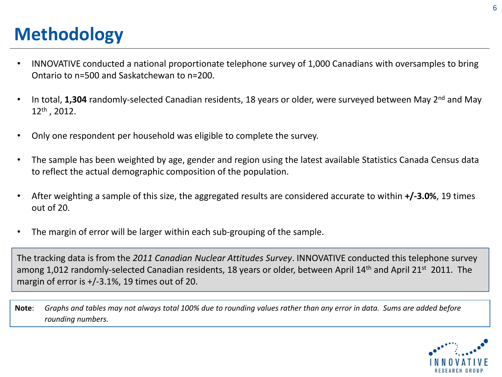# **Methodology**

- INNOVATIVE conducted a national proportionate telephone survey of 1,000 Canadians with oversamples to bring Ontario to n=500 and Saskatchewan to n=200.
- In total, **1,304** randomly-selected Canadian residents, 18 years or older, were surveyed between May 2nd and May 12th , 2012.
- Only one respondent per household was eligible to complete the survey.
- The sample has been weighted by age, gender and region using the latest available Statistics Canada Census data to reflect the actual demographic composition of the population.
- After weighting a sample of this size, the aggregated results are considered accurate to within **+/-3.0%**, 19 times out of 20.
- The margin of error will be larger within each sub-grouping of the sample.

The tracking data is from the *2011 Canadian Nuclear Attitudes Survey*. INNOVATIVE conducted this telephone survey among 1,012 randomly-selected Canadian residents, 18 years or older, between April 14<sup>th</sup> and April 21<sup>st</sup> 2011. The margin of error is +/-3.1%, 19 times out of 20.

**Note**: *Graphs and tables may not always total 100% due to rounding values rather than any error in data. Sums are added before rounding numbers.*

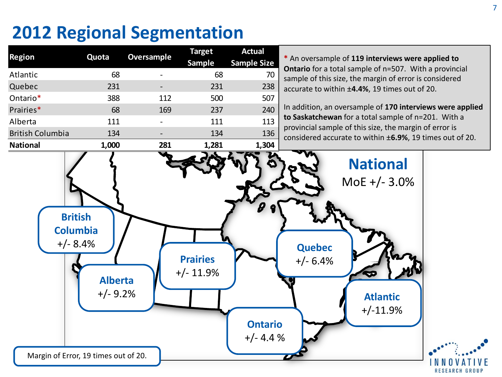# **2012 Regional Segmentation**

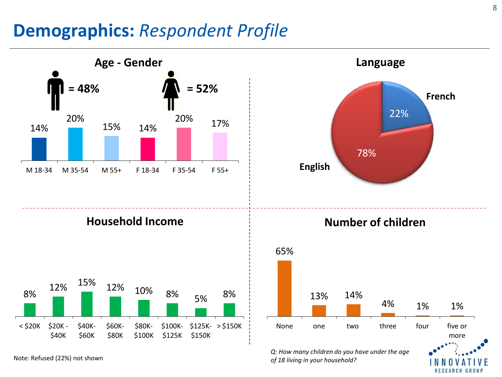## **Demographics:** *Respondent Profile*



Note: Refused (22%) not shown *of 18 living in your household?*

8

l O U F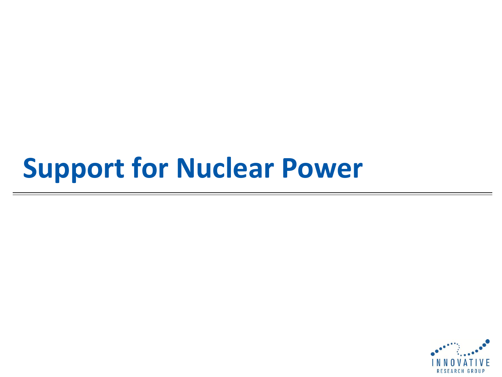# **Support for Nuclear Power**

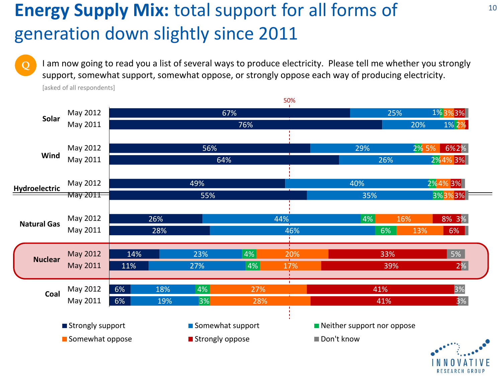# **Energy Supply Mix:** total support for all forms of generation down slightly since 2011

I am now going to read you a list of several ways to produce electricity. Please tell me whether you strongly support, somewhat support, somewhat oppose, or strongly oppose each way of producing electricity.



[asked of all respondents]

**Q**

10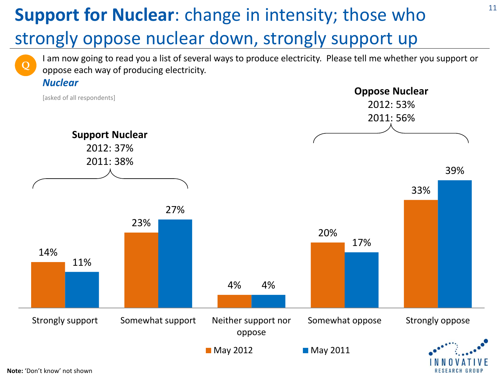# **Support for Nuclear**: change in intensity; those who strongly oppose nuclear down, strongly support up

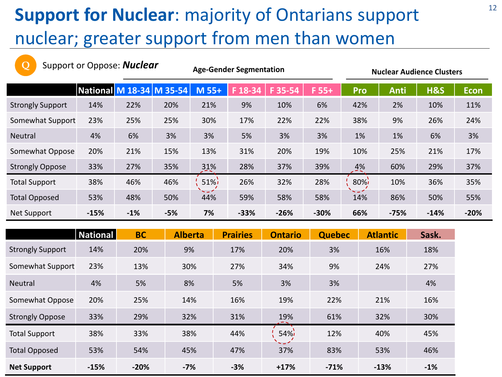# **Support for Nuclear**: majority of Ontarians support nuclear; greater support from men than women

| Q                       | Support or Oppose: <b>Nuclear</b> |       |       | <b>Age-Gender Segmentation</b> |         |         |         | <b>Nuclear Audience Clusters</b> |             |                |             |
|-------------------------|-----------------------------------|-------|-------|--------------------------------|---------|---------|---------|----------------------------------|-------------|----------------|-------------|
|                         | National M 18-34  M 35-54         |       |       | M 55+                          | F 18-34 | F 35-54 | $F 55+$ | Pro                              | <b>Anti</b> | <b>H&amp;S</b> | <b>Econ</b> |
| <b>Strongly Support</b> | 14%                               | 22%   | 20%   | 21%                            | 9%      | 10%     | 6%      | 42%                              | 2%          | 10%            | 11%         |
| Somewhat Support        | 23%                               | 25%   | 25%   | 30%                            | 17%     | 22%     | 22%     | 38%                              | 9%          | 26%            | 24%         |
| <b>Neutral</b>          | 4%                                | 6%    | 3%    | 3%                             | 5%      | 3%      | 3%      | 1%                               | 1%          | 6%             | 3%          |
| Somewhat Oppose         | 20%                               | 21%   | 15%   | 13%                            | 31%     | 20%     | 19%     | 10%                              | 25%         | 21%            | 17%         |
| <b>Strongly Oppose</b>  | 33%                               | 27%   | 35%   | 31%                            | 28%     | 37%     | 39%     | $4\%$                            | 60%         | 29%            | 37%         |
| <b>Total Support</b>    | 38%                               | 46%   | 46%   | $51\%$                         | 26%     | 32%     | 28%     | $80\%$                           | 10%         | 36%            | 35%         |
| <b>Total Opposed</b>    | 53%                               | 48%   | 50%   | - - 1<br>44%                   | 59%     | 58%     | 58%     | ~~^<br>14%                       | 86%         | 50%            | 55%         |
| <b>Net Support</b>      | $-15%$                            | $-1%$ | $-5%$ | 7%                             | $-33%$  | $-26%$  | $-30%$  | 66%                              | $-75%$      | $-14%$         | $-20%$      |

|                         | <b>National</b> | <b>BC</b> | <b>Alberta</b> | <b>Prairies</b> | <b>Ontario</b>              | <b>Quebec</b> | <b>Atlantic</b> | Sask. |
|-------------------------|-----------------|-----------|----------------|-----------------|-----------------------------|---------------|-----------------|-------|
| <b>Strongly Support</b> | 14%             | 20%       | 9%             | 17%             | 20%                         | 3%            | 16%             | 18%   |
| Somewhat Support        | 23%             | 13%       | 30%            | 27%             | 34%                         | 9%            | 24%             | 27%   |
| <b>Neutral</b>          | 4%              | 5%        | 8%             | 5%              | 3%                          | 3%            |                 | 4%    |
| Somewhat Oppose         | 20%             | 25%       | 14%            | 16%             | 19%                         | 22%           | 21%             | 16%   |
| <b>Strongly Oppose</b>  | 33%             | 29%       | 32%            | 31%             | 19%                         | 61%           | 32%             | 30%   |
| <b>Total Support</b>    | 38%             | 33%       | 38%            | 44%             | 54%<br>$\sim$ $\sim$ $\sim$ | 12%           | 40%             | 45%   |
| <b>Total Opposed</b>    | 53%             | 54%       | 45%            | 47%             | 37%                         | 83%           | 53%             | 46%   |
| <b>Net Support</b>      | $-15%$          | $-20%$    | $-7%$          | $-3%$           | $+17%$                      | $-71%$        | $-13%$          | $-1%$ |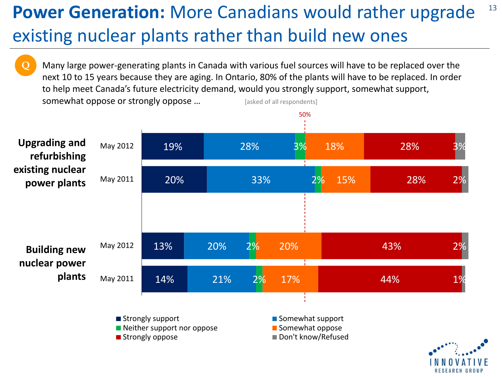## **Power Generation:** More Canadians would rather upgrade existing nuclear plants rather than build new ones 13

Many large power-generating plants in Canada with various fuel sources will have to be replaced over the next 10 to 15 years because they are aging. In Ontario, 80% of the plants will have to be replaced. In order to help meet Canada's future electricity demand, would you strongly support, somewhat support, somewhat oppose or strongly oppose ... [asked of all respondents] **Q**

50%



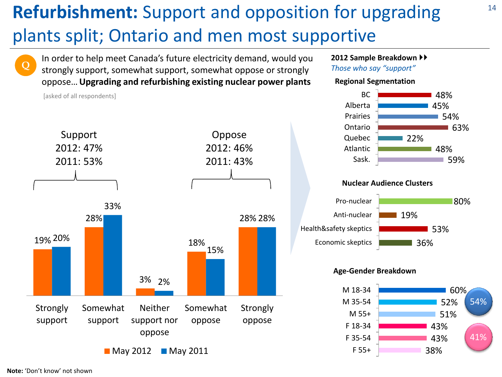# **Refurbishment:** Support and opposition for upgrading plants split; Ontario and men most supportive

**Q**

[asked of all respondents]

In order to help meet Canada's future electricity demand, would you strongly support, somewhat support, somewhat oppose or strongly oppose…**Upgrading and refurbishing existing nuclear power plants**



## **2012 Sample Breakdown**

*Those who say "support"*

## **Regional Segmentation**



### **Nuclear Audience Clusters**



## **Age-Gender Breakdown**

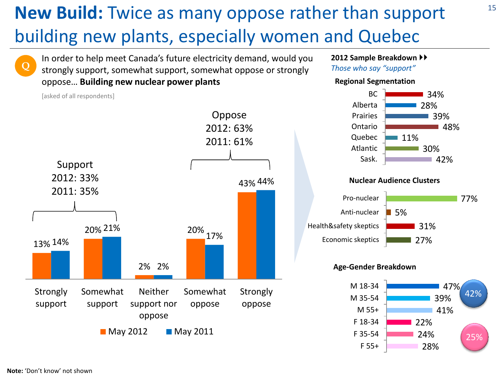# **New Build:** Twice as many oppose rather than support building new plants, especially women and Quebec

In order to help meet Canada's future electricity demand, would you strongly support, somewhat support, somewhat oppose or strongly oppose… **Building new nuclear power plants**

13% 14% 20% 21% 2% 2% 20% 43% 44% 17% **Strongly** support Somewhat support Neither support nor oppose Somewhat oppose **Strongly** oppose **May 2012 May 2011** Support 2012: 33% 2011: 35% Oppose 2012: 63% 2011: 61%

**2012 Sample Breakdown** 

*Those who say "support"*

Atlantic Sask.





30%

42%

## **Age-Gender Breakdown**



**Note:** 'Don't know' not shown

[asked of all respondents]

**Q**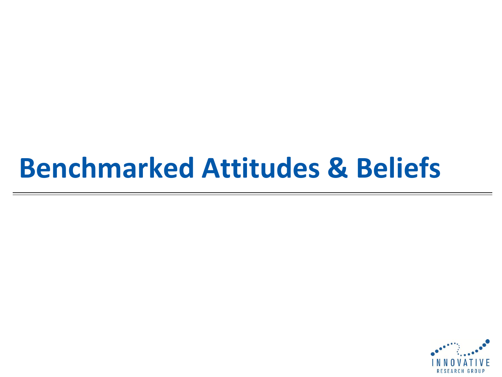# **Benchmarked Attitudes & Beliefs**

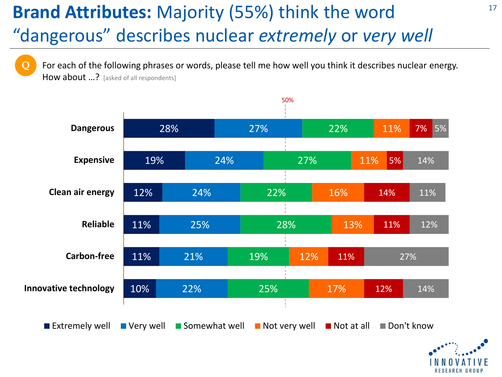# **Brand Attributes:** Majority (55%) think the word "dangerous" describes nuclear *extremely* or *very well*

**Q**

For each of the following phrases or words, please tell me how well you think it describes nuclear energy. How about ...? [asked of all respondents]

50%



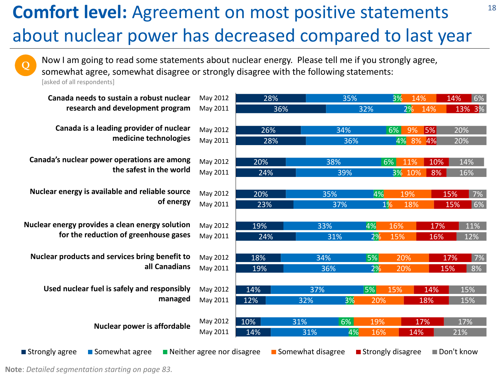# **Comfort level:** Agreement on most positive statements about nuclear power has decreased compared to last year

Now I am going to read some statements about nuclear energy. Please tell me if you strongly agree,

somewhat agree, somewhat disagree or strongly disagree with the following statements:

[asked of all respondents]

**Q**

| Canada needs to sustain a robust nuclear        | May 2012                                  | 28% | 35%               |                     | 3%<br>14% |     | 14%<br>6%  |
|-------------------------------------------------|-------------------------------------------|-----|-------------------|---------------------|-----------|-----|------------|
| research and development program                | May 2011                                  | 36% |                   | 32%                 | 2%        | 14% | 13% 3%     |
|                                                 |                                           |     |                   |                     |           |     |            |
| Canada is a leading provider of nuclear         | May 2012                                  | 26% | 34%               |                     | 9%<br>6%  | 5%  | 20%        |
| medicine technologies                           | May 2011                                  | 28% | 36%               |                     | 4% 8% 4%  |     | 20%        |
|                                                 |                                           |     |                   |                     |           |     |            |
| Canada's nuclear power operations are among     | May 2012                                  | 20% | 38%               | $6\%$               | 11%       | 10% | 14%        |
| the safest in the world                         | May 2011                                  | 24% | 39%               |                     | 3% 10%    | 8%  | 16%        |
|                                                 |                                           |     |                   |                     |           |     |            |
| Nuclear energy is available and reliable source | May 2012                                  | 20% | 35%               | 4%                  | 19%       |     | 7%<br>15%  |
| of energy                                       | May 2011                                  | 23% | 37%               | $1\%$               | 18%       |     | 6%<br>15%  |
|                                                 |                                           |     |                   |                     |           |     |            |
| Nuclear energy provides a clean energy solution | May 2012                                  | 19% | 33%               | 4%                  | 16%       | 17% | 11%        |
| for the reduction of greenhouse gases           | May 2011                                  | 24% | 31%               | 2%                  | 15%       | 16% | 12%        |
|                                                 |                                           |     |                   |                     |           |     |            |
| Nuclear products and services bring benefit to  | May 2012                                  | 18% | 34%               | 5%                  | 20%       |     | 7%<br>17%  |
| all Canadians                                   | May 2011                                  | 19% | 36%               | 2%                  | 20%       |     | 8%<br>15%  |
|                                                 |                                           |     |                   |                     |           |     |            |
| Used nuclear fuel is safely and responsibly     | May 2012                                  | 14% | 37%               | 5%                  | 15%       | 14% | 15%        |
| managed                                         | May 2011                                  | 12% | 3%<br>32%         | 20%                 |           | 18% | 15%        |
|                                                 |                                           |     |                   |                     |           |     |            |
| <b>Nuclear power is affordable</b>              | May 2012                                  | 10% | 6%<br>31%         | 19%                 |           | 17% | 17%        |
|                                                 | May 2011                                  | 14% | 4%<br>31%         | 16%                 | 14%       |     | 21%        |
| ■ Strongly agree<br>■ Somewhat agree            | $\blacksquare$ Neither agree nor disagree |     | Somewhat disagree | ■ Strongly disagree |           |     | Don't know |
|                                                 |                                           |     |                   |                     |           |     |            |

**Note**: *Detailed segmentation starting on page 83.*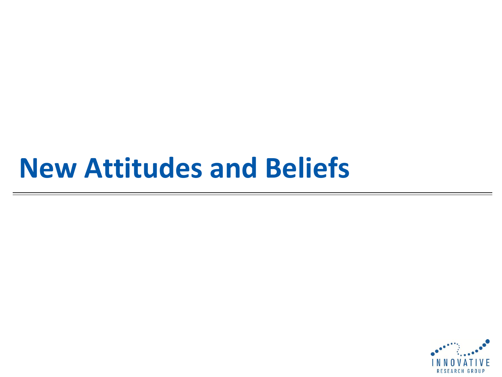# **New Attitudes and Beliefs**

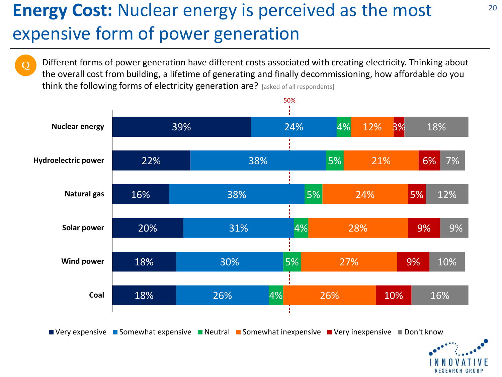# **Energy Cost:** Nuclear energy is perceived as the most expensive form of power generation

**Q**

Different forms of power generation have different costs associated with creating electricity. Thinking about the overall cost from building, a lifetime of generating and finally decommissioning, how affordable do you think the following forms of electricity generation are? [asked of all respondents]





20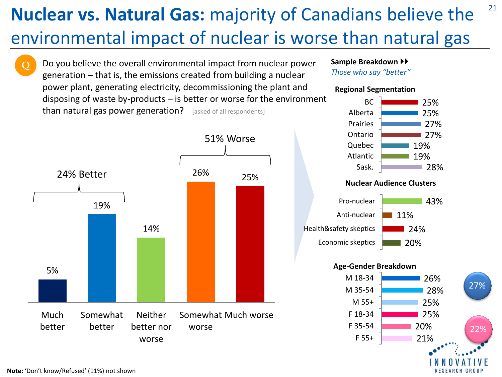# **Nuclear vs. Natural Gas:** majority of Canadians believe the environmental impact of nuclear is worse than natural gas

Do you believe the overall environmental impact from nuclear power generation – that is, the emissions created from building a nuclear power plant, generating electricity, decommissioning the plant and disposing of waste by-products – is better or worse for the environment than natural gas power generation? [asked of all respondents]



## **Sample Breakdown**

*Those who say "better"*

## **Regional Segmentation**



21

#### **Nuclear Audience Clusters**



## **Age-Gender Breakdown**



22%

**Q**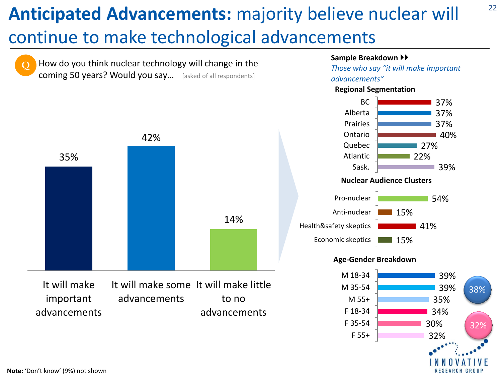# **Anticipated Advancements:** majority believe nuclear will

# continue to make technological advancements



#### **Sample Breakdown**

*Those who say "it will make important* 

22

**Regional Segmentation**



### **Age-Gender Breakdown**

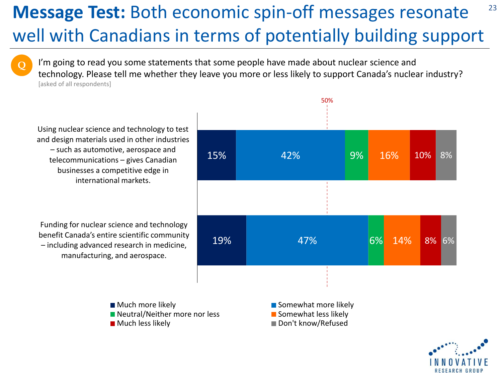## **Message Test:** Both economic spin-off messages resonate well with Canadians in terms of potentially building support 23

I'm going to read you some statements that some people have made about nuclear science and technology. Please tell me whether they leave you more or less likely to support Canada's nuclear industry? [asked of all respondents]

Using nuclear science and technology to test and design materials used in other industries – such as automotive, aerospace and telecommunications – gives Canadian businesses a competitive edge in international markets.

**Q**

Funding for nuclear science and technology benefit Canada's entire scientific community – including advanced research in medicine, manufacturing, and aerospace.

15% 19% 42% 47% 9% 6% 16% 14% 10% 8% 8% 6%

50%

■ Much more likely Number of Somewhat more likely  $\blacksquare$  Neutral/Neither more nor less  $\blacksquare$  Somewhat less likely

■ Much less likely Don't know/Refused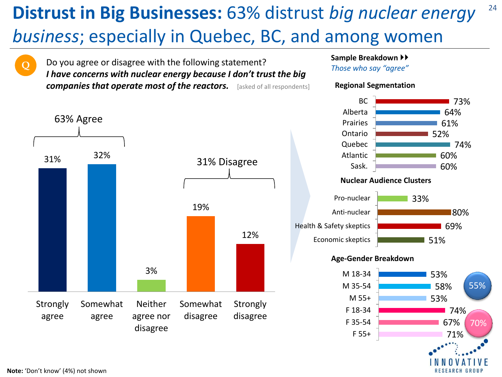# **Distrust in Big Businesses:** 63% distrust *big nuclear energy business*; especially in Quebec, BC, and among women



Do you agree or disagree with the following statement? *I have concerns with nuclear energy because I don't trust the big companies that operate most of the reactors.* [asked of all respondents]



## **Sample Breakdown**

*Those who say "agree"*



24

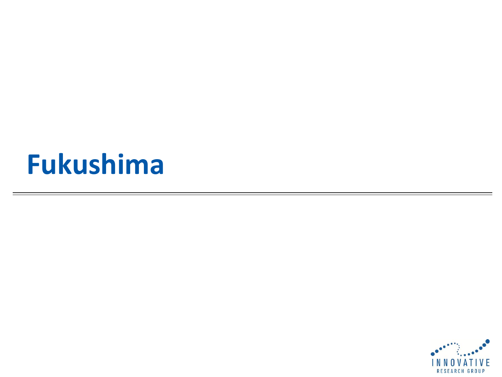# **Fukushima**

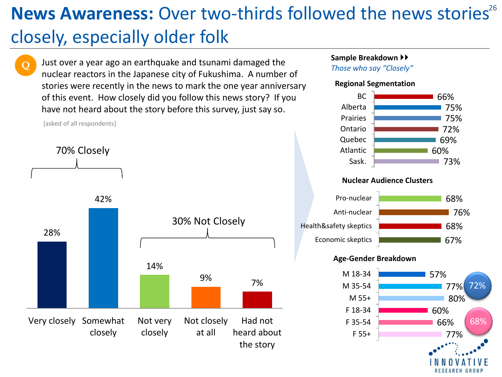# News Awareness: Over two-thirds followed the news stories<sup>26</sup> closely, especially older folk

**Q**

Just over a year ago an earthquake and tsunami damaged the nuclear reactors in the Japanese city of Fukushima. A number of stories were recently in the news to mark the one year anniversary of this event. How closely did you follow this news story? If you have not heard about the story before this survey, just say so.



## **Sample Breakdown**

*Those who say "Closely"*

## **Regional Segmentation**



## **Nuclear Audience Clusters**



## **Age-Gender Breakdown**

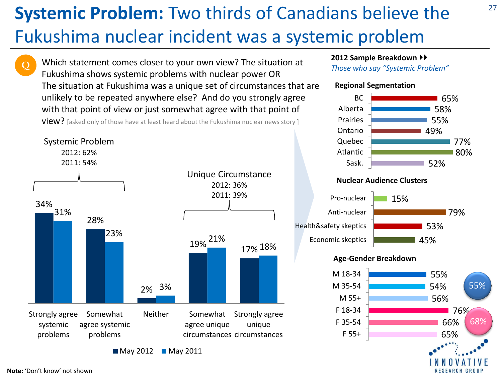# **Systemic Problem:** Two thirds of Canadians believe the Fukushima nuclear incident was a systemic problem

Which statement comes closer to your own view? The situation at Fukushima shows systemic problems with nuclear power OR The situation at Fukushima was a unique set of circumstances that are unlikely to be repeated anywhere else? And do you strongly agree with that point of view or just somewhat agree with that point of

view? [asked only of those have at least heard about the Fukushima nuclear news story ]



 $M$ May 2012 May 2011

## **2012 Sample Breakdown**

*Those who say "Systemic Problem"*

## **Regional Segmentation**



27

#### **Nuclear Audience Clusters**



## **Age-Gender Breakdown**



**Q**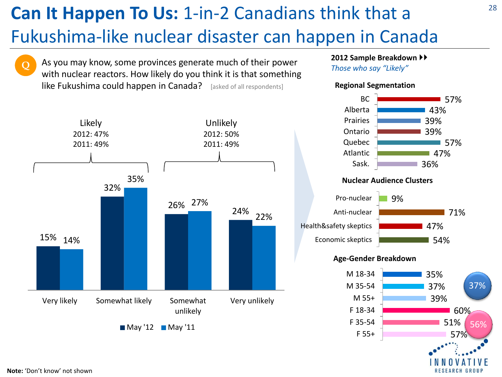# **Can It Happen To Us:** 1-in-2 Canadians think that a Fukushima-like nuclear disaster can happen in Canada

**Q**

As you may know, some provinces generate much of their power with nuclear reactors. How likely do you think it is that something like Fukushima could happen in Canada? [asked of all respondents]



## **2012 Sample Breakdown**

*Those who say "Likely"*

## **Regional Segmentation**



### **Nuclear Audience Clusters**



## **Age-Gender Breakdown**

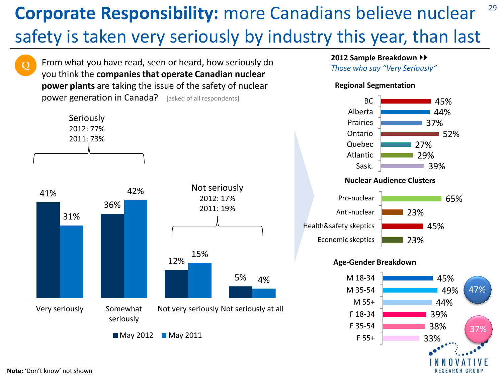# **Corporate Responsibility:** more Canadians believe nuclear safety is taken very seriously by industry this year, than last



From what you have read, seen or heard, how seriously do

## **2012 Sample Breakdown**

*Those who say "Very Seriously"*

## **Regional Segmentation**



## **Nuclear Audience Clusters**



## **Age-Gender Breakdown**



29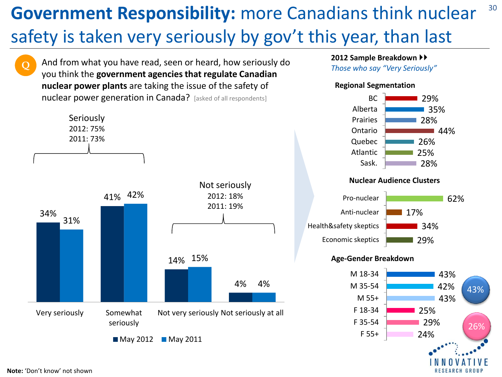## 30 **Government Responsibility:** more Canadians think nuclear safety is taken very seriously by gov't this year, than last

And from what you have read, seen or heard, how seriously do you think the **government agencies that regulate Canadian nuclear power plants** are taking the issue of the safety of nuclear power generation in Canada? [asked of all respondents]



## **2012 Sample Breakdown**

*Those who say "Very Seriously"*

## **Regional Segmentation**



## **Nuclear Audience Clusters**



## **Age-Gender Breakdown**



**Q**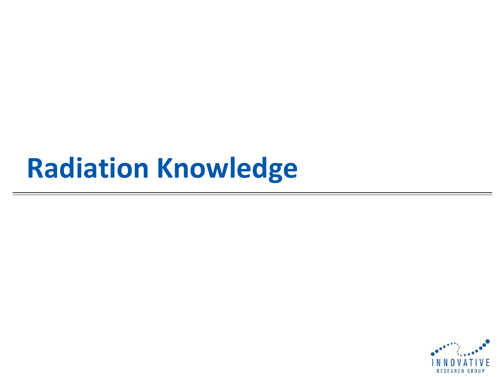# **Radiation Knowledge**

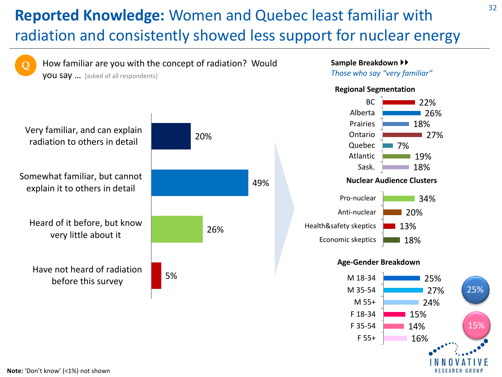## **Reported Knowledge:** Women and Quebec least familiar with radiation and consistently showed less support for nuclear energy



15% 14% 16%

15%

F 18-34 F 35-54 F 55+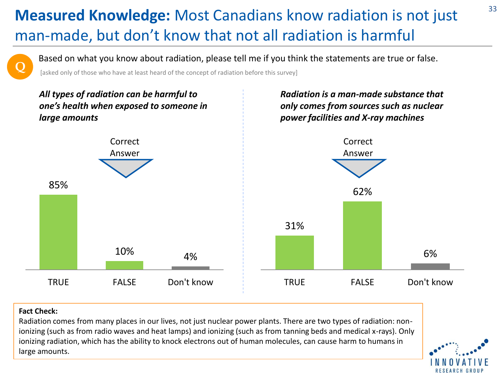## **Measured Knowledge:** Most Canadians know radiation is not just man-made, but don't know that not all radiation is harmful

Based on what you know about radiation, please tell me if you think the statements are true or false.

[asked only of those who have at least heard of the concept of radiation before this survey]



## **Fact Check:**

**Q**

Radiation comes from many places in our lives, not just nuclear power plants. There are two types of radiation: nonionizing (such as from radio waves and heat lamps) and ionizing (such as from tanning beds and medical x-rays). Only ionizing radiation, which has the ability to knock electrons out of human molecules, can cause harm to humans in large amounts.



33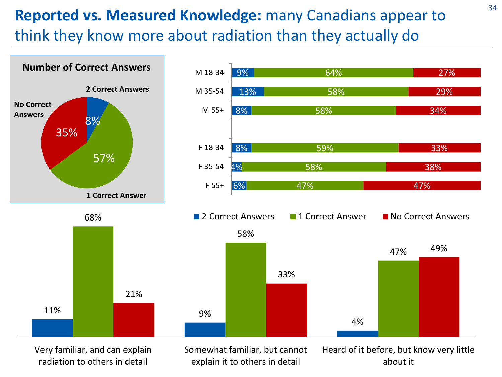## <sup>34</sup> **Reported vs. Measured Knowledge:** many Canadians appear to think they know more about radiation than they actually do



Very familiar, and can explain radiation to others in detail

Somewhat familiar, but cannot explain it to others in detail

Heard of it before, but know very little about it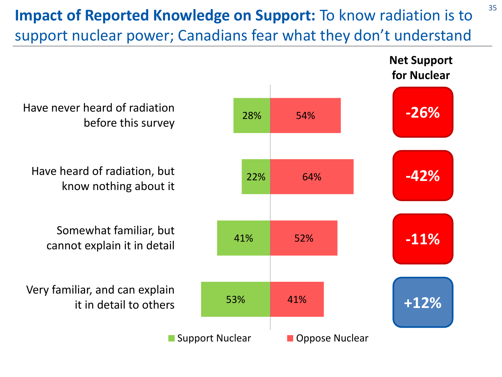# **Impact of Reported Knowledge on Support:** To know radiation is to <sup>35</sup> support nuclear power; Canadians fear what they don't understand

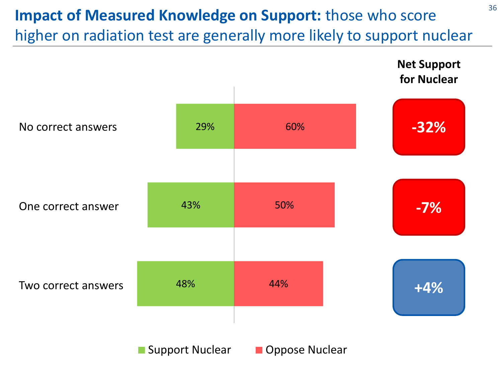# **Impact of Measured Knowledge on Support:** those who score higher on radiation test are generally more likely to support nuclear